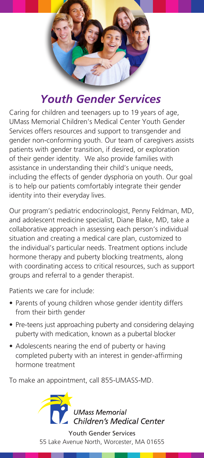

# *Youth Gender Services*

Caring for children and teenagers up to 19 years of age, UMass Memorial Children's Medical Center Youth Gender Services offers resources and support to transgender and gender non-conforming youth. Our team of caregivers assists patients with gender transition, if desired, or exploration of their gender identity. We also provide families with assistance in understanding their child's unique needs, including the effects of gender dysphoria on youth. Our goal is to help our patients comfortably integrate their gender identity into their everyday lives.

Our program's pediatric endocrinologist, Penny Feldman, MD, and adolescent medicine specialist, Diane Blake, MD, take a collaborative approach in assessing each person's individual situation and creating a medical care plan, customized to the individual's particular needs. Treatment options include hormone therapy and puberty blocking treatments, along with coordinating access to critical resources, such as support groups and referral to a gender therapist.

Patients we care for include:

- Parents of young children whose gender identity differs from their birth gender
- Pre-teens just approaching puberty and considering delaying puberty with medication, known as a pubertal blocker
- Adolescents nearing the end of puberty or having completed puberty with an interest in gender-affirming hormone treatment

To make an appointment, call 855-UMASS-MD.



Youth Gender Services 55 Lake Avenue North, Worcester, MA 01655